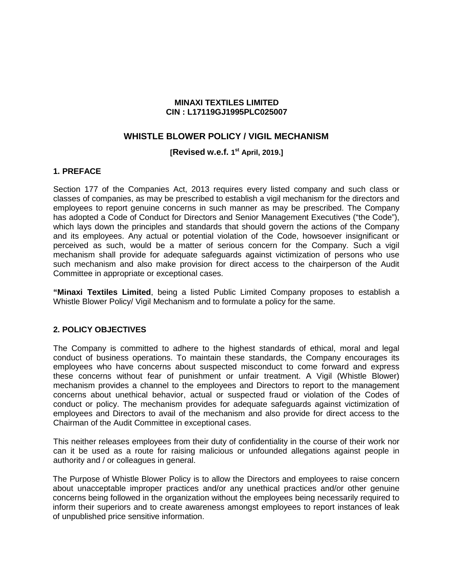### **MINAXI TEXTILES LIMITED CIN : L17119GJ1995PLC025007**

# **WHISTLE BLOWER POLICY / VIGIL MECHANISM**

### **[Revised w.e.f. 1st April, 2019.]**

#### **1. PREFACE**

Section 177 of the Companies Act, 2013 requires every listed company and such class or classes of companies, as may be prescribed to establish a vigil mechanism for the directors and employees to report genuine concerns in such manner as may be prescribed. The Company has adopted a Code of Conduct for Directors and Senior Management Executives ("the Code"), which lays down the principles and standards that should govern the actions of the Company and its employees. Any actual or potential violation of the Code, howsoever insignificant or perceived as such, would be a matter of serious concern for the Company. Such a vigil mechanism shall provide for adequate safeguards against victimization of persons who use such mechanism and also make provision for direct access to the chairperson of the Audit Committee in appropriate or exceptional cases.

**"Minaxi Textiles Limited**, being a listed Public Limited Company proposes to establish a Whistle Blower Policy/ Vigil Mechanism and to formulate a policy for the same.

### **2. POLICY OBJECTIVES**

The Company is committed to adhere to the highest standards of ethical, moral and legal conduct of business operations. To maintain these standards, the Company encourages its employees who have concerns about suspected misconduct to come forward and express these concerns without fear of punishment or unfair treatment. A Vigil (Whistle Blower) mechanism provides a channel to the employees and Directors to report to the management concerns about unethical behavior, actual or suspected fraud or violation of the Codes of conduct or policy. The mechanism provides for adequate safeguards against victimization of employees and Directors to avail of the mechanism and also provide for direct access to the Chairman of the Audit Committee in exceptional cases.

This neither releases employees from their duty of confidentiality in the course of their work nor can it be used as a route for raising malicious or unfounded allegations against people in authority and / or colleagues in general.

The Purpose of Whistle Blower Policy is to allow the Directors and employees to raise concern about unacceptable improper practices and/or any unethical practices and/or other genuine concerns being followed in the organization without the employees being necessarily required to inform their superiors and to create awareness amongst employees to report instances of leak of unpublished price sensitive information.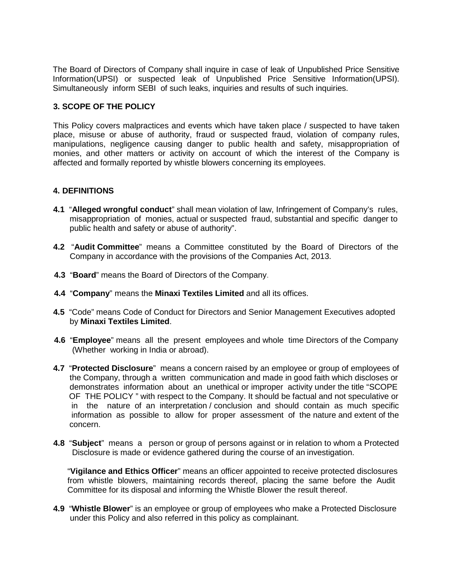The Board of Directors of Company shall inquire in case of leak of Unpublished Price Sensitive Information(UPSI) or suspected leak of Unpublished Price Sensitive Information(UPSI). Simultaneously inform SEBI of such leaks, inquiries and results of such inquiries.

### **3. SCOPE OF THE POLICY**

This Policy covers malpractices and events which have taken place / suspected to have taken place, misuse or abuse of authority, fraud or suspected fraud, violation of company rules, manipulations, negligence causing danger to public health and safety, misappropriation of monies, and other matters or activity on account of which the interest of the Company is affected and formally reported by whistle blowers concerning its employees.

#### **4. DEFINITIONS**

- **4.1** "**Alleged wrongful conduct**" shall mean violation of law, Infringement of Company's rules, misappropriation of monies, actual or suspected fraud, substantial and specific danger to public health and safety or abuse of authority".
- **4.2** "**Audit Committee**" means a Committee constituted by the Board of Directors of the Company in accordance with the provisions of the Companies Act, 2013.
- **4.3** "**Board**" means the Board of Directors of the Company.
- **4.4** "**Company**" means the **Minaxi Textiles Limited** and all its offices.
- **4.5** "Code" means Code of Conduct for Directors and Senior Management Executives adopted by **Minaxi Textiles Limited**.
- **4.6** "**Employee**" means all the present employees and whole time Directors of the Company (Whether working in India or abroad).
- **4.7** "**Protected Disclosure**" means a concern raised by an employee or group of employees of the Company, through a written communication and made in good faith which discloses or demonstrates information about an unethical or improper activity under the title "SCOPE OF THE POLICY " with respect to the Company. It should be factual and not speculative or in the nature of an interpretation / conclusion and should contain as much specific information as possible to allow for proper assessment of the nature and extent of the concern.
- **4.8** "**Subject**" means a person or group of persons against or in relation to whom a Protected Disclosure is made or evidence gathered during the course of an investigation.

 "**Vigilance and Ethics Officer**" means an officer appointed to receive protected disclosures from whistle blowers, maintaining records thereof, placing the same before the Audit Committee for its disposal and informing the Whistle Blower the result thereof.

**4.9** "**Whistle Blower**" is an employee or group of employees who make a Protected Disclosure under this Policy and also referred in this policy as complainant.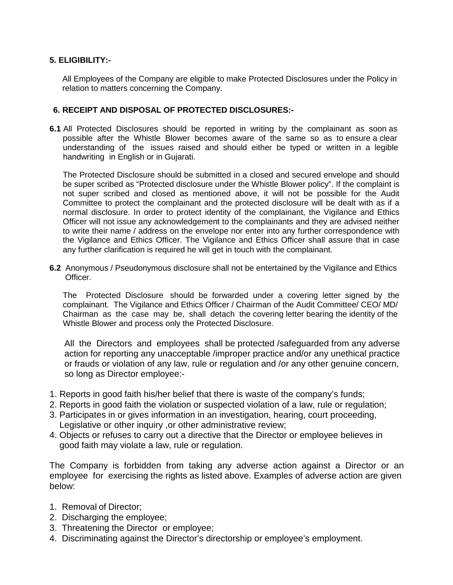# **5. ELIGIBILITY:-**

 All Employees of the Company are eligible to make Protected Disclosures under the Policy in relation to matters concerning the Company.

### **6. RECEIPT AND DISPOSAL OF PROTECTED DISCLOSURES:-**

**6.1** All Protected Disclosures should be reported in writing by the complainant as soon as possible after the Whistle Blower becomes aware of the same so as to ensure a clear understanding of the issues raised and should either be typed or written in a legible handwriting in English or in Gujarati.

The Protected Disclosure should be submitted in a closed and secured envelope and should be super scribed as "Protected disclosure under the Whistle Blower policy". If the complaint is not super scribed and closed as mentioned above, it will not be possible for the Audit Committee to protect the complainant and the protected disclosure will be dealt with as if a normal disclosure. In order to protect identity of the complainant, the Vigilance and Ethics Officer will not issue any acknowledgement to the complainants and they are advised neither to write their name / address on the envelope nor enter into any further correspondence with the Vigilance and Ethics Officer. The Vigilance and Ethics Officer shall assure that in case any further clarification is required he will get in touch with the complainant.

**6.2** Anonymous / Pseudonymous disclosure shall not be entertained by the Vigilance and Ethics Officer.

The Protected Disclosure should be forwarded under a covering letter signed by the complainant. The Vigilance and Ethics Officer / Chairman of the Audit Committee/ CEO/ MD/ Chairman as the case may be, shall detach the covering letter bearing the identity of the Whistle Blower and process only the Protected Disclosure.

 All the Directors and employees shall be protected /safeguarded from any adverse action for reporting any unacceptable /improper practice and/or any unethical practice or frauds or violation of any law, rule or regulation and /or any other genuine concern, so long as Director employee:-

- 1. Reports in good faith his/her belief that there is waste of the company's funds;
- 2. Reports in good faith the violation or suspected violation of a law, rule or regulation;
- 3. Participates in or gives information in an investigation, hearing, court proceeding, Legislative or other inquiry ,or other administrative review;
- 4. Objects or refuses to carry out a directive that the Director or employee believes in good faith may violate a law, rule or regulation.

The Company is forbidden from taking any adverse action against a Director or an employee for exercising the rights as listed above. Examples of adverse action are given below:

- 1. Removal of Director;
- 2. Discharging the employee;
- 3. Threatening the Director or employee;
- 4. Discriminating against the Director's directorship or employee's employment.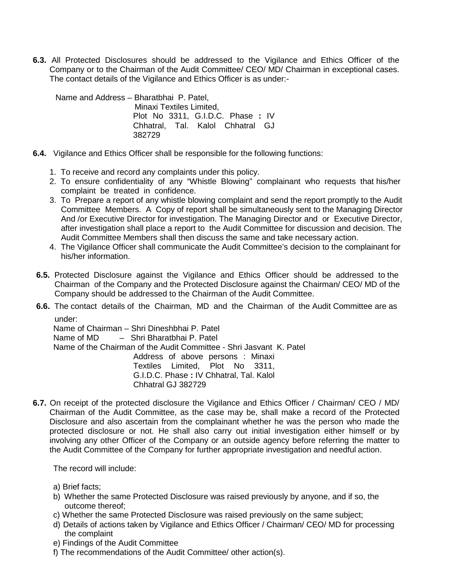**6.3.** All Protected Disclosures should be addressed to the Vigilance and Ethics Officer of the Company or to the Chairman of the Audit Committee/ CEO/ MD/ Chairman in exceptional cases. The contact details of the Vigilance and Ethics Officer is as under:-

Name and Address – Bharatbhai P. Patel, Minaxi Textiles Limited, Plot No 3311, G.I.D.C. Phase **:** IV Chhatral, Tal. Kalol Chhatral GJ 382729

- **6.4.** Vigilance and Ethics Officer shall be responsible for the following functions:
	- 1. To receive and record any complaints under this policy.
	- 2. To ensure confidentiality of any "Whistle Blowing" complainant who requests that his/her complaint be treated in confidence.
	- 3. To Prepare a report of any whistle blowing complaint and send the report promptly to the Audit Committee Members. A Copy of report shall be simultaneously sent to the Managing Director And /or Executive Director for investigation. The Managing Director and or Executive Director, after investigation shall place a report to the Audit Committee for discussion and decision. The Audit Committee Members shall then discuss the same and take necessary action.
	- 4. The Vigilance Officer shall communicate the Audit Committee's decision to the complainant for his/her information.
	- **6.5.** Protected Disclosure against the Vigilance and Ethics Officer should be addressed to the Chairman of the Company and the Protected Disclosure against the Chairman/ CEO/ MD of the Company should be addressed to the Chairman of the Audit Committee.
	- **6.6.** The contact details of the Chairman, MD and the Chairman of the Audit Committee are as under:

Name of Chairman – Shri Dineshbhai P. Patel Name of MD – Shri Bharatbhai P. Patel Name of the Chairman of the Audit Committee - Shri Jasvant K. Patel Address of above persons : Minaxi Textiles Limited, Plot No 3311, G.I.D.C. Phase **:** IV Chhatral, Tal. Kalol Chhatral GJ 382729

**6.7.** On receipt of the protected disclosure the Vigilance and Ethics Officer / Chairman/ CEO / MD/ Chairman of the Audit Committee, as the case may be, shall make a record of the Protected Disclosure and also ascertain from the complainant whether he was the person who made the protected disclosure or not. He shall also carry out initial investigation either himself or by involving any other Officer of the Company or an outside agency before referring the matter to the Audit Committee of the Company for further appropriate investigation and needful action.

The record will include:

- a) Brief facts;
- b) Whether the same Protected Disclosure was raised previously by anyone, and if so, the outcome thereof;
- c) Whether the same Protected Disclosure was raised previously on the same subject;
- d) Details of actions taken by Vigilance and Ethics Officer / Chairman/ CEO/ MD for processing the complaint
- e) Findings of the Audit Committee
- f) The recommendations of the Audit Committee/ other action(s).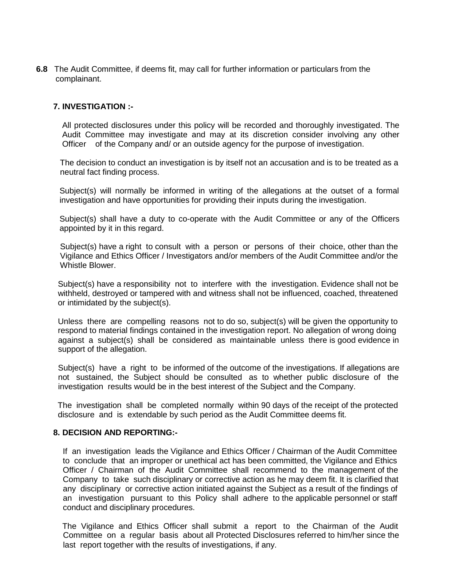**6.8** The Audit Committee, if deems fit, may call for further information or particulars from the complainant.

### **7. INVESTIGATION :-**

All protected disclosures under this policy will be recorded and thoroughly investigated. The Audit Committee may investigate and may at its discretion consider involving any other Officer of the Company and/ or an outside agency for the purpose of investigation.

The decision to conduct an investigation is by itself not an accusation and is to be treated as a neutral fact finding process.

Subject(s) will normally be informed in writing of the allegations at the outset of a formal investigation and have opportunities for providing their inputs during the investigation.

Subject(s) shall have a duty to co-operate with the Audit Committee or any of the Officers appointed by it in this regard.

Subject(s) have a right to consult with a person or persons of their choice, other than the Vigilance and Ethics Officer / Investigators and/or members of the Audit Committee and/or the Whistle Blower.

Subject(s) have a responsibility not to interfere with the investigation. Evidence shall not be withheld, destroyed or tampered with and witness shall not be influenced, coached, threatened or intimidated by the subject(s).

Unless there are compelling reasons not to do so, subject(s) will be given the opportunity to respond to material findings contained in the investigation report. No allegation of wrong doing against a subject(s) shall be considered as maintainable unless there is good evidence in support of the allegation.

Subject(s) have a right to be informed of the outcome of the investigations. If allegations are not sustained, the Subject should be consulted as to whether public disclosure of the investigation results would be in the best interest of the Subject and the Company.

The investigation shall be completed normally within 90 days of the receipt of the protected disclosure and is extendable by such period as the Audit Committee deems fit.

#### **8. DECISION AND REPORTING:-**

If an investigation leads the Vigilance and Ethics Officer / Chairman of the Audit Committee to conclude that an improper or unethical act has been committed, the Vigilance and Ethics Officer / Chairman of the Audit Committee shall recommend to the management of the Company to take such disciplinary or corrective action as he may deem fit. It is clarified that any disciplinary or corrective action initiated against the Subject as a result of the findings of an investigation pursuant to this Policy shall adhere to the applicable personnel or staff conduct and disciplinary procedures.

 The Vigilance and Ethics Officer shall submit a report to the Chairman of the Audit Committee on a regular basis about all Protected Disclosures referred to him/her since the last report together with the results of investigations, if any.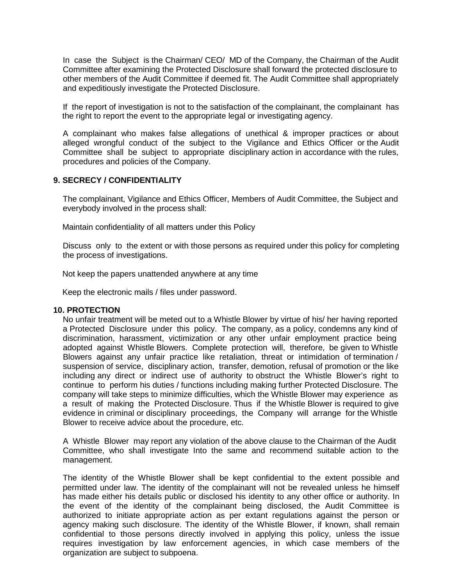In case the Subject is the Chairman/ CEO/ MD of the Company, the Chairman of the Audit Committee after examining the Protected Disclosure shall forward the protected disclosure to other members of the Audit Committee if deemed fit. The Audit Committee shall appropriately and expeditiously investigate the Protected Disclosure.

If the report of investigation is not to the satisfaction of the complainant, the complainant has the right to report the event to the appropriate legal or investigating agency.

A complainant who makes false allegations of unethical & improper practices or about alleged wrongful conduct of the subject to the Vigilance and Ethics Officer or the Audit Committee shall be subject to appropriate disciplinary action in accordance with the rules, procedures and policies of the Company.

#### **9. SECRECY / CONFIDENTIALITY**

The complainant, Vigilance and Ethics Officer, Members of Audit Committee, the Subject and everybody involved in the process shall:

Maintain confidentiality of all matters under this Policy

Discuss only to the extent or with those persons as required under this policy for completing the process of investigations.

Not keep the papers unattended anywhere at any time

Keep the electronic mails / files under password.

#### **10. PROTECTION**

No unfair treatment will be meted out to a Whistle Blower by virtue of his/ her having reported a Protected Disclosure under this policy. The company, as a policy, condemns any kind of discrimination, harassment, victimization or any other unfair employment practice being adopted against Whistle Blowers. Complete protection will, therefore, be given to Whistle Blowers against any unfair practice like retaliation, threat or intimidation of termination / suspension of service, disciplinary action, transfer, demotion, refusal of promotion or the like including any direct or indirect use of authority to obstruct the Whistle Blower's right to continue to perform his duties / functions including making further Protected Disclosure. The company will take steps to minimize difficulties, which the Whistle Blower may experience as a result of making the Protected Disclosure. Thus if the Whistle Blower is required to give evidence in criminal or disciplinary proceedings, the Company will arrange for the Whistle Blower to receive advice about the procedure, etc.

A Whistle Blower may report any violation of the above clause to the Chairman of the Audit Committee, who shall investigate Into the same and recommend suitable action to the management.

The identity of the Whistle Blower shall be kept confidential to the extent possible and permitted under law. The identity of the complainant will not be revealed unless he himself has made either his details public or disclosed his identity to any other office or authority. In the event of the identity of the complainant being disclosed, the Audit Committee is authorized to initiate appropriate action as per extant regulations against the person or agency making such disclosure. The identity of the Whistle Blower, if known, shall remain confidential to those persons directly involved in applying this policy, unless the issue requires investigation by law enforcement agencies, in which case members of the organization are subject to subpoena.